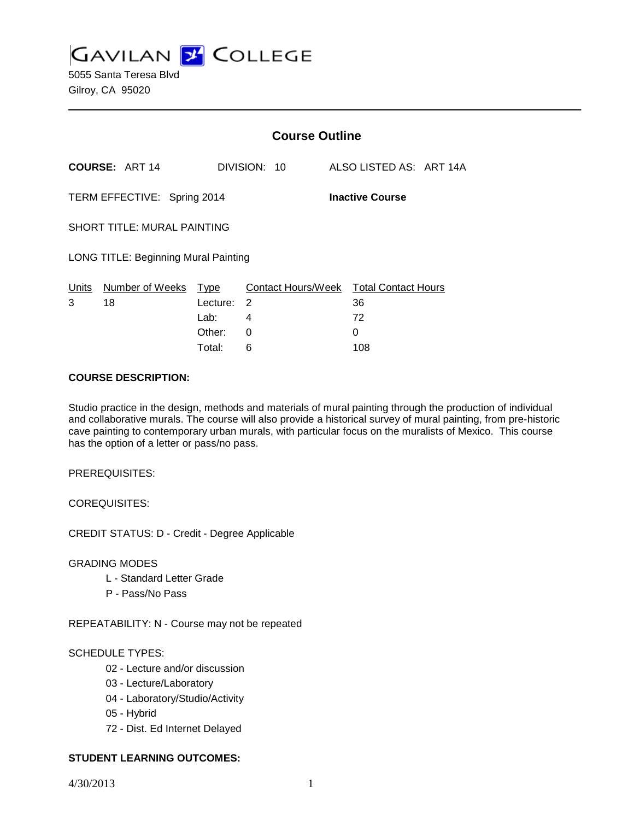**GAVILAN 2 COLLEGE** 

|                                                       |                                             | <b>Course Outline</b> |              |                                              |
|-------------------------------------------------------|---------------------------------------------|-----------------------|--------------|----------------------------------------------|
|                                                       | <b>COURSE: ART 14</b>                       |                       | DIVISION: 10 | ALSO LISTED AS: ART 14A                      |
| TERM EFFECTIVE: Spring 2014<br><b>Inactive Course</b> |                                             |                       |              |                                              |
|                                                       | <b>SHORT TITLE: MURAL PAINTING</b>          |                       |              |                                              |
|                                                       | <b>LONG TITLE: Beginning Mural Painting</b> |                       |              |                                              |
| 3                                                     | Units Number of Weeks Type<br>18            | Lecture: 2            |              | Contact Hours/Week Total Contact Hours<br>36 |
|                                                       |                                             | Lab: La               | 4            | 72                                           |
|                                                       |                                             | Other:                | 0            | 0                                            |
|                                                       |                                             | Total:                | 6            | 108                                          |

#### **COURSE DESCRIPTION:**

Studio practice in the design, methods and materials of mural painting through the production of individual and collaborative murals. The course will also provide a historical survey of mural painting, from pre-historic cave painting to contemporary urban murals, with particular focus on the muralists of Mexico. This course has the option of a letter or pass/no pass.

PREREQUISITES:

COREQUISITES:

CREDIT STATUS: D - Credit - Degree Applicable

GRADING MODES

- L Standard Letter Grade
- P Pass/No Pass

REPEATABILITY: N - Course may not be repeated

#### SCHEDULE TYPES:

- 02 Lecture and/or discussion
- 03 Lecture/Laboratory
- 04 Laboratory/Studio/Activity
- 05 Hybrid
- 72 Dist. Ed Internet Delayed

#### **STUDENT LEARNING OUTCOMES:**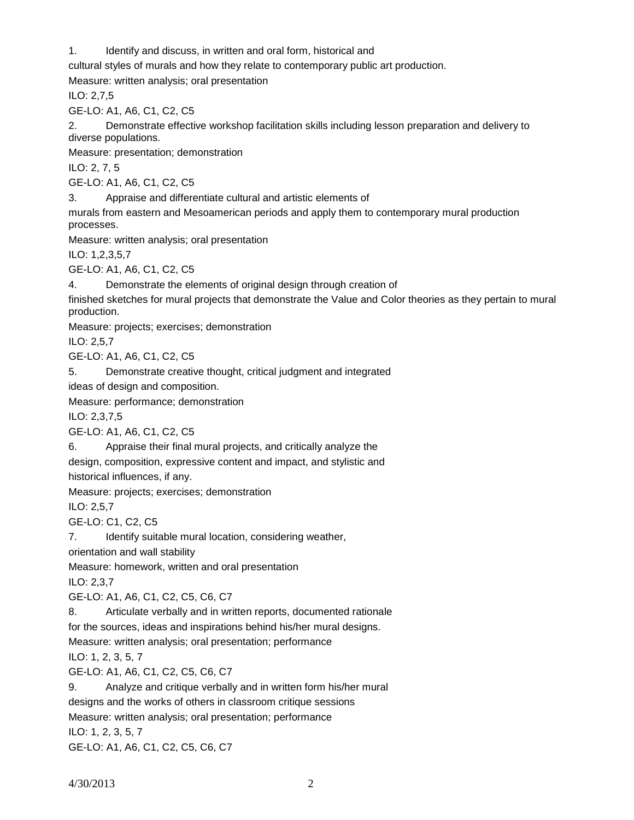1. Identify and discuss, in written and oral form, historical and

cultural styles of murals and how they relate to contemporary public art production.

Measure: written analysis; oral presentation

ILO: 2,7,5

GE-LO: A1, A6, C1, C2, C5

2. Demonstrate effective workshop facilitation skills including lesson preparation and delivery to diverse populations.

Measure: presentation; demonstration

ILO: 2, 7, 5

GE-LO: A1, A6, C1, C2, C5

3. Appraise and differentiate cultural and artistic elements of

murals from eastern and Mesoamerican periods and apply them to contemporary mural production processes.

Measure: written analysis; oral presentation

ILO: 1,2,3,5,7

GE-LO: A1, A6, C1, C2, C5

4. Demonstrate the elements of original design through creation of

finished sketches for mural projects that demonstrate the Value and Color theories as they pertain to mural production.

Measure: projects; exercises; demonstration

ILO: 2,5,7

GE-LO: A1, A6, C1, C2, C5

5. Demonstrate creative thought, critical judgment and integrated

ideas of design and composition.

Measure: performance; demonstration

ILO: 2,3,7,5

GE-LO: A1, A6, C1, C2, C5

6. Appraise their final mural projects, and critically analyze the

design, composition, expressive content and impact, and stylistic and

historical influences, if any.

Measure: projects; exercises; demonstration

ILO: 2,5,7

GE-LO: C1, C2, C5

7. Identify suitable mural location, considering weather,

orientation and wall stability

Measure: homework, written and oral presentation

ILO: 2,3,7

GE-LO: A1, A6, C1, C2, C5, C6, C7

8. Articulate verbally and in written reports, documented rationale

for the sources, ideas and inspirations behind his/her mural designs.

Measure: written analysis; oral presentation; performance

ILO: 1, 2, 3, 5, 7

GE-LO: A1, A6, C1, C2, C5, C6, C7

9. Analyze and critique verbally and in written form his/her mural

designs and the works of others in classroom critique sessions

Measure: written analysis; oral presentation; performance

ILO: 1, 2, 3, 5, 7

GE-LO: A1, A6, C1, C2, C5, C6, C7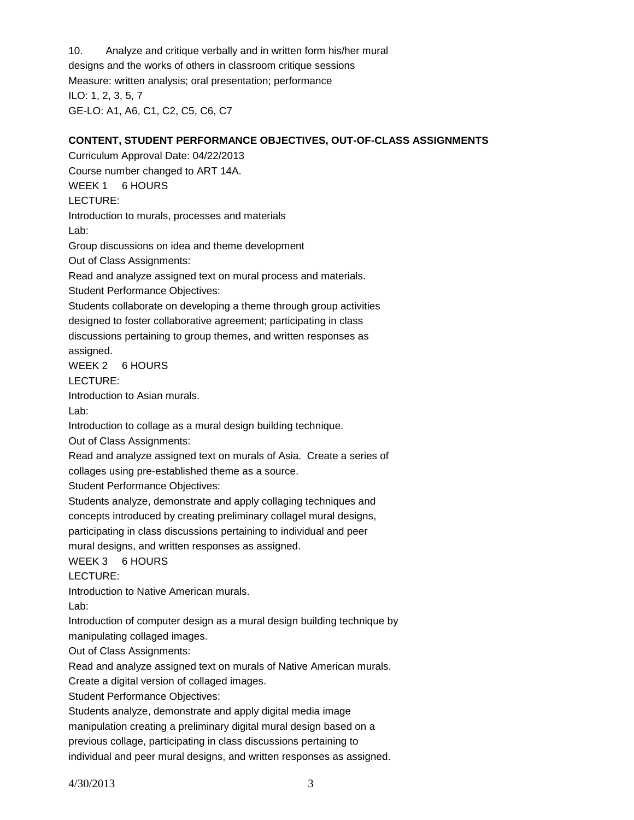10. Analyze and critique verbally and in written form his/her mural designs and the works of others in classroom critique sessions Measure: written analysis; oral presentation; performance ILO: 1, 2, 3, 5, 7 GE-LO: A1, A6, C1, C2, C5, C6, C7

#### **CONTENT, STUDENT PERFORMANCE OBJECTIVES, OUT-OF-CLASS ASSIGNMENTS**

Curriculum Approval Date: 04/22/2013 Course number changed to ART 14A. WEEK 1 6 HOURS LECTURE: Introduction to murals, processes and materials Lab: Group discussions on idea and theme development Out of Class Assignments: Read and analyze assigned text on mural process and materials. Student Performance Objectives: Students collaborate on developing a theme through group activities designed to foster collaborative agreement; participating in class discussions pertaining to group themes, and written responses as assigned. WEEK 2 6 HOURS LECTURE: Introduction to Asian murals. Lab: Introduction to collage as a mural design building technique. Out of Class Assignments: Read and analyze assigned text on murals of Asia. Create a series of collages using pre-established theme as a source. Student Performance Objectives: Students analyze, demonstrate and apply collaging techniques and concepts introduced by creating preliminary collagel mural designs, participating in class discussions pertaining to individual and peer mural designs, and written responses as assigned. WEEK 3 6 HOURS LECTURE: Introduction to Native American murals. Lab: Introduction of computer design as a mural design building technique by manipulating collaged images. Out of Class Assignments:

Read and analyze assigned text on murals of Native American murals.

Create a digital version of collaged images.

Student Performance Objectives:

Students analyze, demonstrate and apply digital media image manipulation creating a preliminary digital mural design based on a

previous collage, participating in class discussions pertaining to

individual and peer mural designs, and written responses as assigned.

4/30/2013 3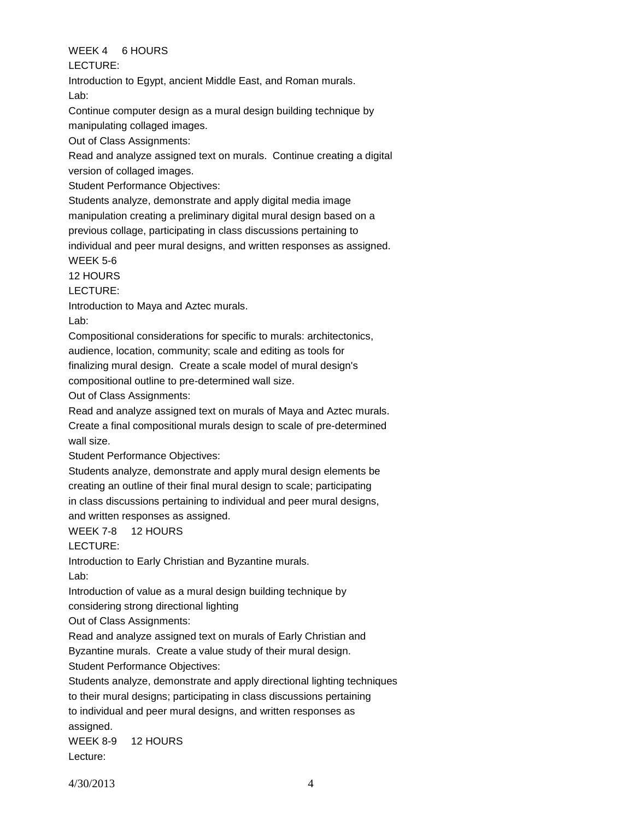## WEEK 4 6 HOURS

LECTURE:

Introduction to Egypt, ancient Middle East, and Roman murals. Lab:

Continue computer design as a mural design building technique by

manipulating collaged images.

Out of Class Assignments:

Read and analyze assigned text on murals. Continue creating a digital version of collaged images.

Student Performance Objectives:

Students analyze, demonstrate and apply digital media image

manipulation creating a preliminary digital mural design based on a

previous collage, participating in class discussions pertaining to

individual and peer mural designs, and written responses as assigned.

## WEEK 5-6

12 HOURS

LECTURE:

Introduction to Maya and Aztec murals.

Lab:

Compositional considerations for specific to murals: architectonics,

audience, location, community; scale and editing as tools for

finalizing mural design. Create a scale model of mural design's

compositional outline to pre-determined wall size.

Out of Class Assignments:

Read and analyze assigned text on murals of Maya and Aztec murals. Create a final compositional murals design to scale of pre-determined wall size.

Student Performance Objectives:

Students analyze, demonstrate and apply mural design elements be creating an outline of their final mural design to scale; participating in class discussions pertaining to individual and peer mural designs, and written responses as assigned.

WEEK 7-8 12 HOURS

LECTURE:

Introduction to Early Christian and Byzantine murals. Lab:

Introduction of value as a mural design building technique by

considering strong directional lighting

Out of Class Assignments:

Read and analyze assigned text on murals of Early Christian and

Byzantine murals. Create a value study of their mural design.

Student Performance Objectives:

Students analyze, demonstrate and apply directional lighting techniques to their mural designs; participating in class discussions pertaining to individual and peer mural designs, and written responses as

assigned.

WEEK 8-9 12 HOURS

Lecture: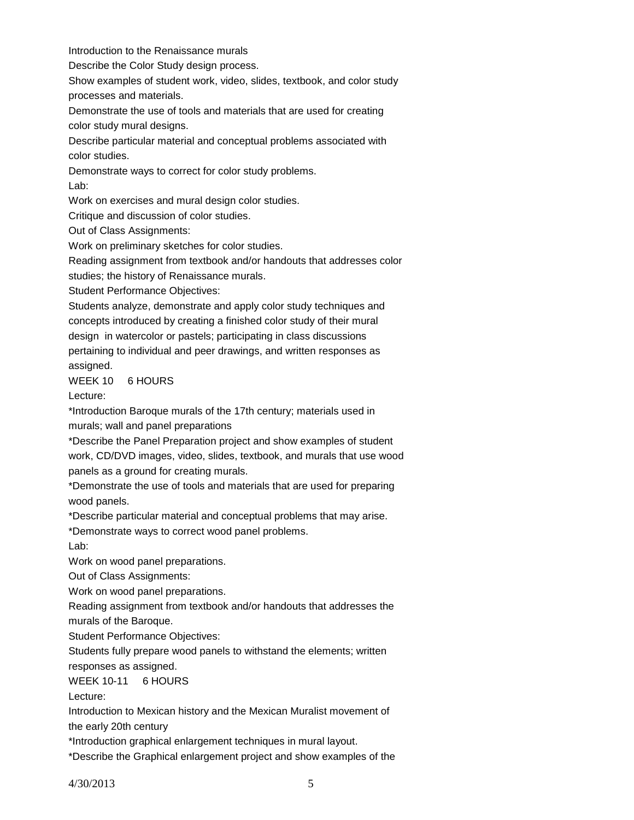Introduction to the Renaissance murals

Describe the Color Study design process.

Show examples of student work, video, slides, textbook, and color study processes and materials.

Demonstrate the use of tools and materials that are used for creating color study mural designs.

Describe particular material and conceptual problems associated with color studies.

Demonstrate ways to correct for color study problems. Lab:

Work on exercises and mural design color studies.

Critique and discussion of color studies.

Out of Class Assignments:

Work on preliminary sketches for color studies.

Reading assignment from textbook and/or handouts that addresses color

studies; the history of Renaissance murals.

Student Performance Objectives:

Students analyze, demonstrate and apply color study techniques and concepts introduced by creating a finished color study of their mural design in watercolor or pastels; participating in class discussions pertaining to individual and peer drawings, and written responses as

assigned.

WEEK 10 6 HOURS

Lecture:

\*Introduction Baroque murals of the 17th century; materials used in murals; wall and panel preparations

\*Describe the Panel Preparation project and show examples of student work, CD/DVD images, video, slides, textbook, and murals that use wood panels as a ground for creating murals.

\*Demonstrate the use of tools and materials that are used for preparing wood panels.

\*Describe particular material and conceptual problems that may arise.

\*Demonstrate ways to correct wood panel problems.

Lab:

Work on wood panel preparations.

Out of Class Assignments:

Work on wood panel preparations.

Reading assignment from textbook and/or handouts that addresses the

murals of the Baroque.

Student Performance Objectives:

Students fully prepare wood panels to withstand the elements; written

responses as assigned.

WEEK 10-11 6 HOURS

Lecture:

Introduction to Mexican history and the Mexican Muralist movement of the early 20th century

\*Introduction graphical enlargement techniques in mural layout.

\*Describe the Graphical enlargement project and show examples of the

4/30/2013 5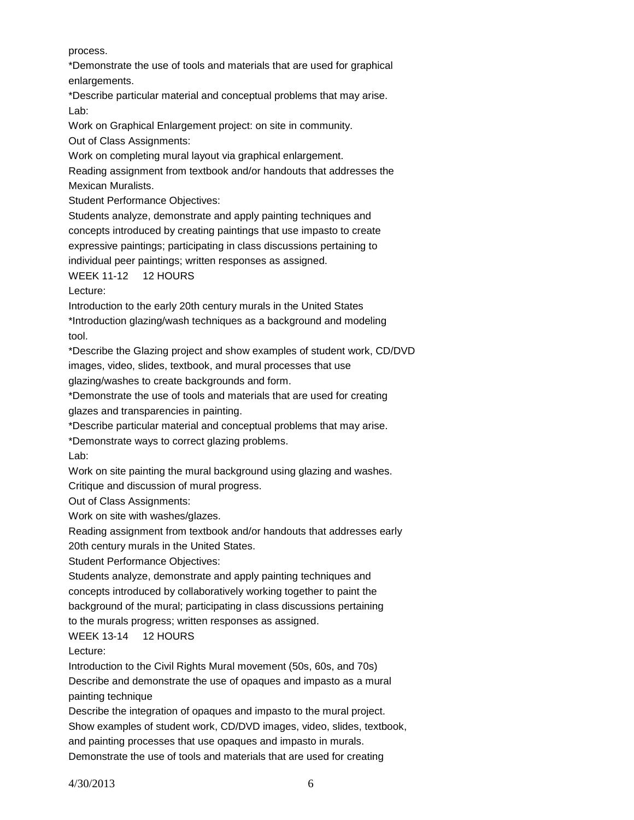process.

\*Demonstrate the use of tools and materials that are used for graphical enlargements.

\*Describe particular material and conceptual problems that may arise. Lab:

Work on Graphical Enlargement project: on site in community.

Out of Class Assignments:

Work on completing mural layout via graphical enlargement.

Reading assignment from textbook and/or handouts that addresses the Mexican Muralists.

Student Performance Objectives:

Students analyze, demonstrate and apply painting techniques and concepts introduced by creating paintings that use impasto to create expressive paintings; participating in class discussions pertaining to individual peer paintings; written responses as assigned.

WEEK 11-12 12 HOURS

Lecture:

Introduction to the early 20th century murals in the United States

\*Introduction glazing/wash techniques as a background and modeling tool.

\*Describe the Glazing project and show examples of student work, CD/DVD images, video, slides, textbook, and mural processes that use

glazing/washes to create backgrounds and form.

\*Demonstrate the use of tools and materials that are used for creating glazes and transparencies in painting.

\*Describe particular material and conceptual problems that may arise.

\*Demonstrate ways to correct glazing problems.

Lab:

Work on site painting the mural background using glazing and washes.

Critique and discussion of mural progress.

Out of Class Assignments:

Work on site with washes/glazes.

Reading assignment from textbook and/or handouts that addresses early 20th century murals in the United States.

Student Performance Objectives:

Students analyze, demonstrate and apply painting techniques and concepts introduced by collaboratively working together to paint the background of the mural; participating in class discussions pertaining to the murals progress; written responses as assigned.

WEEK 13-14 12 HOURS

Lecture:

Introduction to the Civil Rights Mural movement (50s, 60s, and 70s) Describe and demonstrate the use of opaques and impasto as a mural painting technique

Describe the integration of opaques and impasto to the mural project. Show examples of student work, CD/DVD images, video, slides, textbook, and painting processes that use opaques and impasto in murals. Demonstrate the use of tools and materials that are used for creating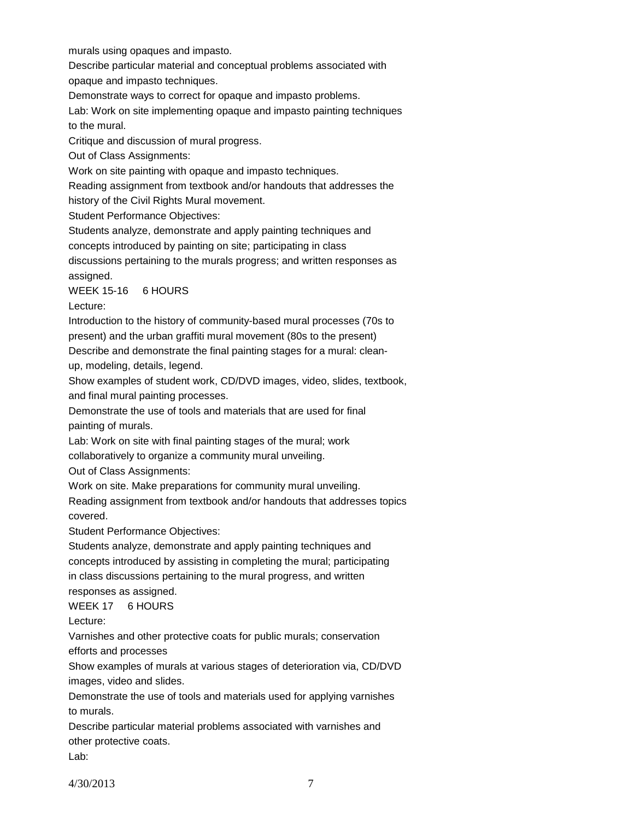murals using opaques and impasto.

Describe particular material and conceptual problems associated with

opaque and impasto techniques.

Demonstrate ways to correct for opaque and impasto problems.

Lab: Work on site implementing opaque and impasto painting techniques to the mural.

Critique and discussion of mural progress.

Out of Class Assignments:

Work on site painting with opaque and impasto techniques.

Reading assignment from textbook and/or handouts that addresses the

history of the Civil Rights Mural movement.

Student Performance Objectives:

Students analyze, demonstrate and apply painting techniques and

concepts introduced by painting on site; participating in class

discussions pertaining to the murals progress; and written responses as assigned.

WEEK 15-16 6 HOURS

Lecture:

Introduction to the history of community-based mural processes (70s to present) and the urban graffiti mural movement (80s to the present)

Describe and demonstrate the final painting stages for a mural: clean-

up, modeling, details, legend.

Show examples of student work, CD/DVD images, video, slides, textbook, and final mural painting processes.

Demonstrate the use of tools and materials that are used for final painting of murals.

Lab: Work on site with final painting stages of the mural; work

collaboratively to organize a community mural unveiling.

Out of Class Assignments:

Work on site. Make preparations for community mural unveiling.

Reading assignment from textbook and/or handouts that addresses topics covered.

Student Performance Objectives:

Students analyze, demonstrate and apply painting techniques and concepts introduced by assisting in completing the mural; participating in class discussions pertaining to the mural progress, and written responses as assigned.

WEEK 17 6 HOURS

Lecture:

Varnishes and other protective coats for public murals; conservation efforts and processes

Show examples of murals at various stages of deterioration via, CD/DVD images, video and slides.

Demonstrate the use of tools and materials used for applying varnishes to murals.

Describe particular material problems associated with varnishes and other protective coats.

Lab: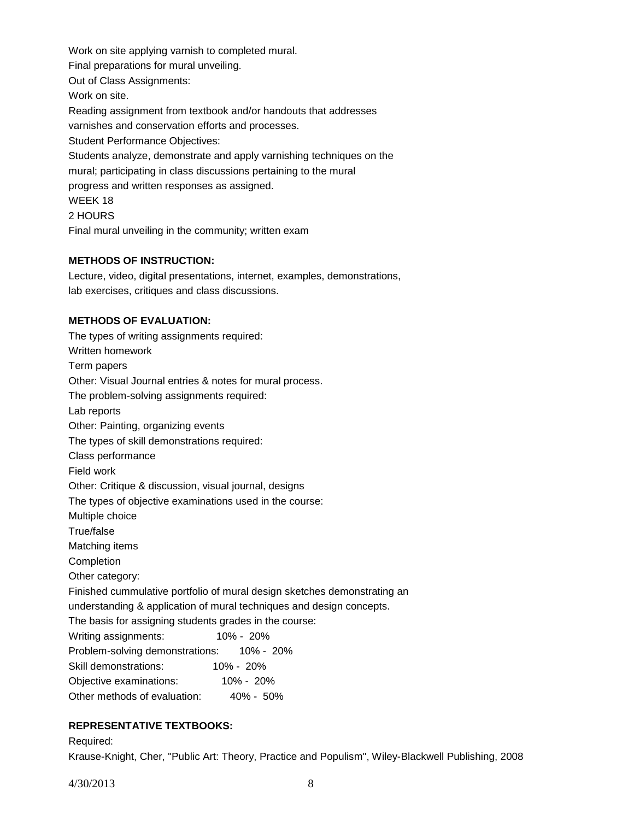Work on site applying varnish to completed mural. Final preparations for mural unveiling. Out of Class Assignments: Work on site. Reading assignment from textbook and/or handouts that addresses varnishes and conservation efforts and processes. Student Performance Objectives: Students analyze, demonstrate and apply varnishing techniques on the mural; participating in class discussions pertaining to the mural progress and written responses as assigned. WEEK 18 2 HOURS Final mural unveiling in the community; written exam

## **METHODS OF INSTRUCTION:**

Lecture, video, digital presentations, internet, examples, demonstrations, lab exercises, critiques and class discussions.

## **METHODS OF EVALUATION:**

| The types of writing assignments required:                               |  |  |  |  |
|--------------------------------------------------------------------------|--|--|--|--|
| Written homework                                                         |  |  |  |  |
| Term papers                                                              |  |  |  |  |
| Other: Visual Journal entries & notes for mural process.                 |  |  |  |  |
| The problem-solving assignments required:                                |  |  |  |  |
| Lab reports                                                              |  |  |  |  |
| Other: Painting, organizing events                                       |  |  |  |  |
| The types of skill demonstrations required:                              |  |  |  |  |
| Class performance                                                        |  |  |  |  |
| Field work                                                               |  |  |  |  |
| Other: Critique & discussion, visual journal, designs                    |  |  |  |  |
| The types of objective examinations used in the course:                  |  |  |  |  |
| Multiple choice                                                          |  |  |  |  |
| True/false                                                               |  |  |  |  |
| Matching items                                                           |  |  |  |  |
| Completion                                                               |  |  |  |  |
| Other category:                                                          |  |  |  |  |
| Finished cummulative portfolio of mural design sketches demonstrating an |  |  |  |  |
| understanding & application of mural techniques and design concepts.     |  |  |  |  |
| The basis for assigning students grades in the course:                   |  |  |  |  |
| $10\% - 20\%$<br>Writing assignments:                                    |  |  |  |  |
| Problem-solving demonstrations: 10% - 20%                                |  |  |  |  |
| Skill demonstrations: 10% - 20%                                          |  |  |  |  |
| Objective examinations: 10% - 20%                                        |  |  |  |  |
| Other methods of evaluation: 40% - 50%                                   |  |  |  |  |

# **REPRESENTATIVE TEXTBOOKS:**

Required:

Krause-Knight, Cher, "Public Art: Theory, Practice and Populism", Wiley-Blackwell Publishing, 2008